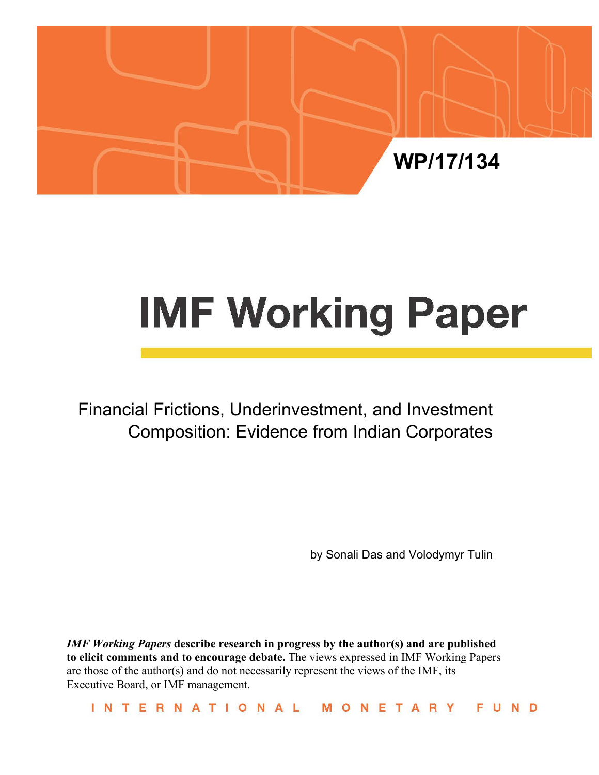

# **IMF Working Paper**

Financial Frictions, Underinvestment, and Investment Composition: Evidence from Indian Corporates

by Sonali Das and Volodymyr Tulin

*IMF Working Papers* **describe research in progress by the author(s) and are published to elicit comments and to encourage debate.** The views expressed in IMF Working Papers are those of the author(s) and do not necessarily represent the views of the IMF, its Executive Board, or IMF management.

INTERNATIONAL NETARY M O F. UND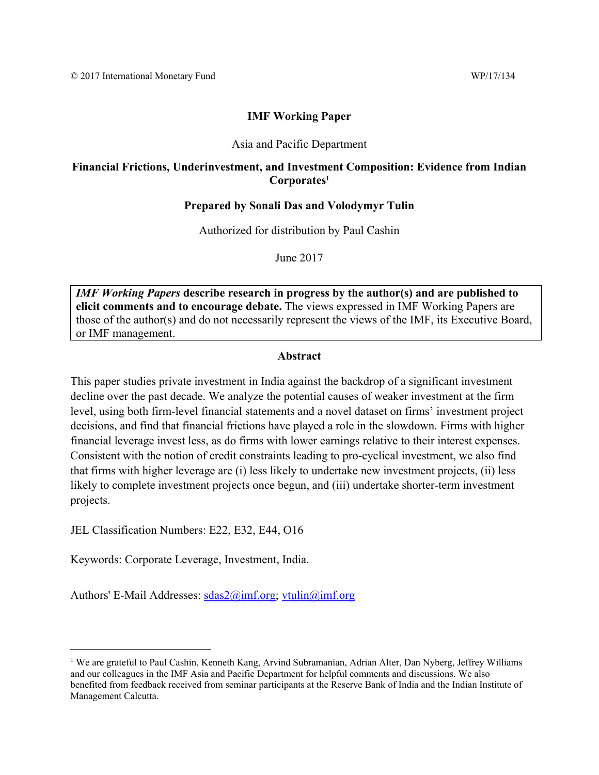# **IMF Working Paper**

# Asia and Pacific Department

# **Financial Frictions, Underinvestment, and Investment Composition: Evidence from Indian Corporates1**

# **Prepared by Sonali Das and Volodymyr Tulin**

Authorized for distribution by Paul Cashin

June 2017

*IMF Working Papers* **describe research in progress by the author(s) and are published to elicit comments and to encourage debate.** The views expressed in IMF Working Papers are those of the author(s) and do not necessarily represent the views of the IMF, its Executive Board, or IMF management.

# **Abstract**

This paper studies private investment in India against the backdrop of a significant investment decline over the past decade. We analyze the potential causes of weaker investment at the firm level, using both firm-level financial statements and a novel dataset on firms' investment project decisions, and find that financial frictions have played a role in the slowdown. Firms with higher financial leverage invest less, as do firms with lower earnings relative to their interest expenses. Consistent with the notion of credit constraints leading to pro-cyclical investment, we also find that firms with higher leverage are (i) less likely to undertake new investment projects, (ii) less likely to complete investment projects once begun, and (iii) undertake shorter-term investment projects.

JEL Classification Numbers: E22, E32, E44, O16

Keywords: Corporate Leverage, Investment, India.

Authors' E-Mail Addresses: sdas2@imf.org; vtulin@imf.org

<sup>&</sup>lt;sup>1</sup> We are grateful to Paul Cashin, Kenneth Kang, Arvind Subramanian, Adrian Alter, Dan Nyberg, Jeffrey Williams and our colleagues in the IMF Asia and Pacific Department for helpful comments and discussions. We also benefited from feedback received from seminar participants at the Reserve Bank of India and the Indian Institute of Management Calcutta.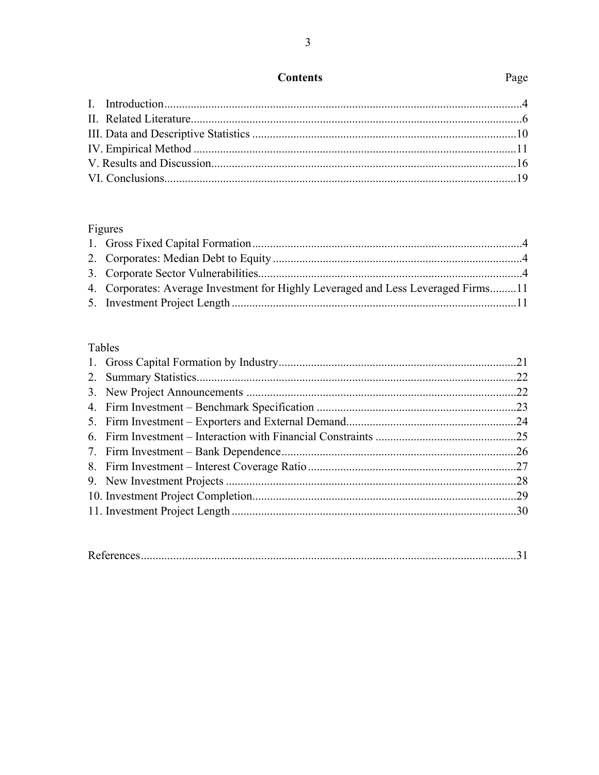# **Contents**

# Page

# Figures

| 4. Corporates: Average Investment for Highly Leveraged and Less Leveraged Firms11 |  |
|-----------------------------------------------------------------------------------|--|
|                                                                                   |  |
|                                                                                   |  |

# Tables

| <b>Kelert</b> |  |
|---------------|--|
|---------------|--|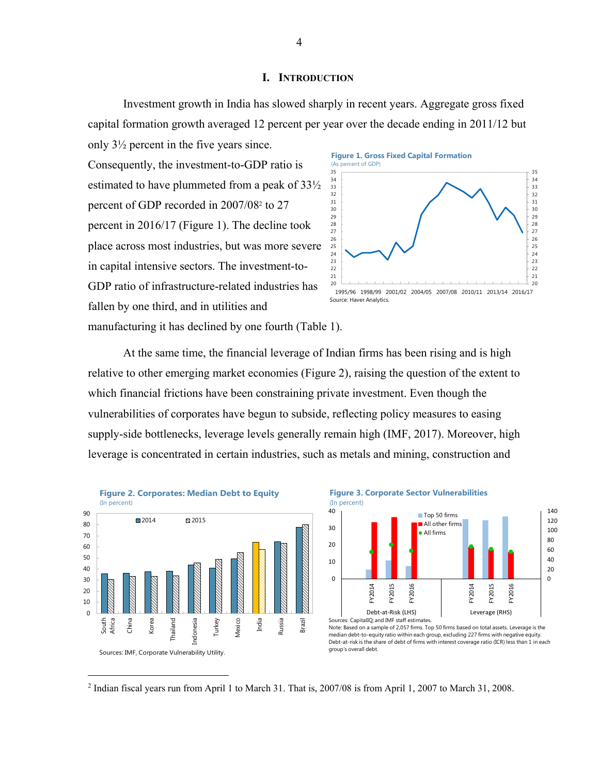### **I. INTRODUCTION**

 Investment growth in India has slowed sharply in recent years. Aggregate gross fixed capital formation growth averaged 12 percent per year over the decade ending in 2011/12 but only 3½ percent in the five years since.

Consequently, the investment-to-GDP ratio is estimated to have plummeted from a peak of 33½ percent of GDP recorded in 2007/082 to 27 percent in 2016/17 (Figure 1). The decline took place across most industries, but was more severe in capital intensive sectors. The investment-to-GDP ratio of infrastructure-related industries has fallen by one third, and in utilities and manufacturing it has declined by one fourth (Table 1).





 At the same time, the financial leverage of Indian firms has been rising and is high relative to other emerging market economies (Figure 2), raising the question of the extent to which financial frictions have been constraining private investment. Even though the vulnerabilities of corporates have begun to subside, reflecting policy measures to easing supply-side bottlenecks, leverage levels generally remain high (IMF, 2017). Moreover, high leverage is concentrated in certain industries, such as metals and mining, construction and



<sup>&</sup>lt;sup>2</sup> Indian fiscal years run from April 1 to March 31. That is, 2007/08 is from April 1, 2007 to March 31, 2008.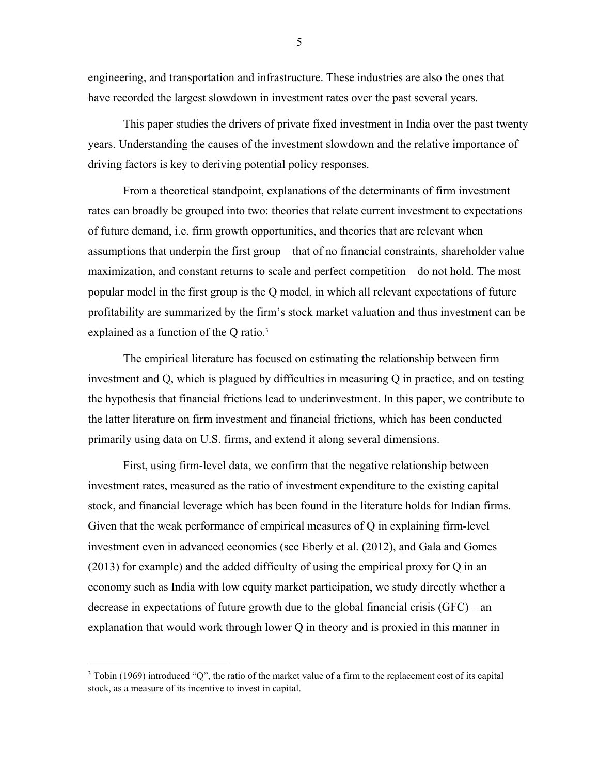engineering, and transportation and infrastructure. These industries are also the ones that have recorded the largest slowdown in investment rates over the past several years.

 This paper studies the drivers of private fixed investment in India over the past twenty years. Understanding the causes of the investment slowdown and the relative importance of driving factors is key to deriving potential policy responses.

 From a theoretical standpoint, explanations of the determinants of firm investment rates can broadly be grouped into two: theories that relate current investment to expectations of future demand, i.e. firm growth opportunities, and theories that are relevant when assumptions that underpin the first group—that of no financial constraints, shareholder value maximization, and constant returns to scale and perfect competition—do not hold. The most popular model in the first group is the Q model, in which all relevant expectations of future profitability are summarized by the firm's stock market valuation and thus investment can be explained as a function of the Q ratio.<sup>3</sup>

 The empirical literature has focused on estimating the relationship between firm investment and Q, which is plagued by difficulties in measuring Q in practice, and on testing the hypothesis that financial frictions lead to underinvestment. In this paper, we contribute to the latter literature on firm investment and financial frictions, which has been conducted primarily using data on U.S. firms, and extend it along several dimensions.

 First, using firm-level data, we confirm that the negative relationship between investment rates, measured as the ratio of investment expenditure to the existing capital stock, and financial leverage which has been found in the literature holds for Indian firms. Given that the weak performance of empirical measures of Q in explaining firm-level investment even in advanced economies (see Eberly et al. (2012), and Gala and Gomes (2013) for example) and the added difficulty of using the empirical proxy for Q in an economy such as India with low equity market participation, we study directly whether a decrease in expectations of future growth due to the global financial crisis (GFC) – an explanation that would work through lower Q in theory and is proxied in this manner in

 $\overline{a}$ 

<sup>3</sup> Tobin (1969) introduced "Q", the ratio of the market value of a firm to the replacement cost of its capital stock, as a measure of its incentive to invest in capital.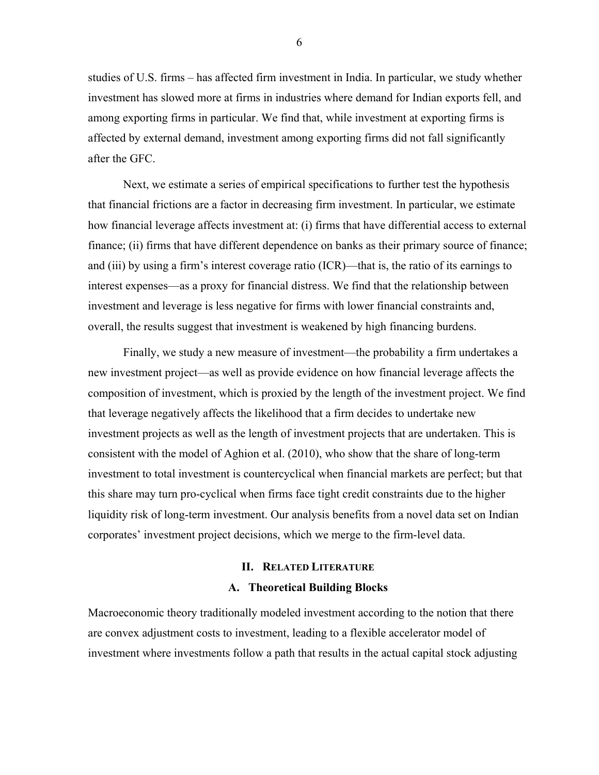studies of U.S. firms – has affected firm investment in India. In particular, we study whether investment has slowed more at firms in industries where demand for Indian exports fell, and among exporting firms in particular. We find that, while investment at exporting firms is affected by external demand, investment among exporting firms did not fall significantly after the GFC.

 Next, we estimate a series of empirical specifications to further test the hypothesis that financial frictions are a factor in decreasing firm investment. In particular, we estimate how financial leverage affects investment at: (i) firms that have differential access to external finance; (ii) firms that have different dependence on banks as their primary source of finance; and (iii) by using a firm's interest coverage ratio (ICR)—that is, the ratio of its earnings to interest expenses—as a proxy for financial distress. We find that the relationship between investment and leverage is less negative for firms with lower financial constraints and, overall, the results suggest that investment is weakened by high financing burdens.

 Finally, we study a new measure of investment—the probability a firm undertakes a new investment project—as well as provide evidence on how financial leverage affects the composition of investment, which is proxied by the length of the investment project. We find that leverage negatively affects the likelihood that a firm decides to undertake new investment projects as well as the length of investment projects that are undertaken. This is consistent with the model of Aghion et al. (2010), who show that the share of long-term investment to total investment is countercyclical when financial markets are perfect; but that this share may turn pro-cyclical when firms face tight credit constraints due to the higher liquidity risk of long-term investment. Our analysis benefits from a novel data set on Indian corporates' investment project decisions, which we merge to the firm-level data.

# **II. RELATED LITERATURE A. Theoretical Building Blocks**

Macroeconomic theory traditionally modeled investment according to the notion that there are convex adjustment costs to investment, leading to a flexible accelerator model of investment where investments follow a path that results in the actual capital stock adjusting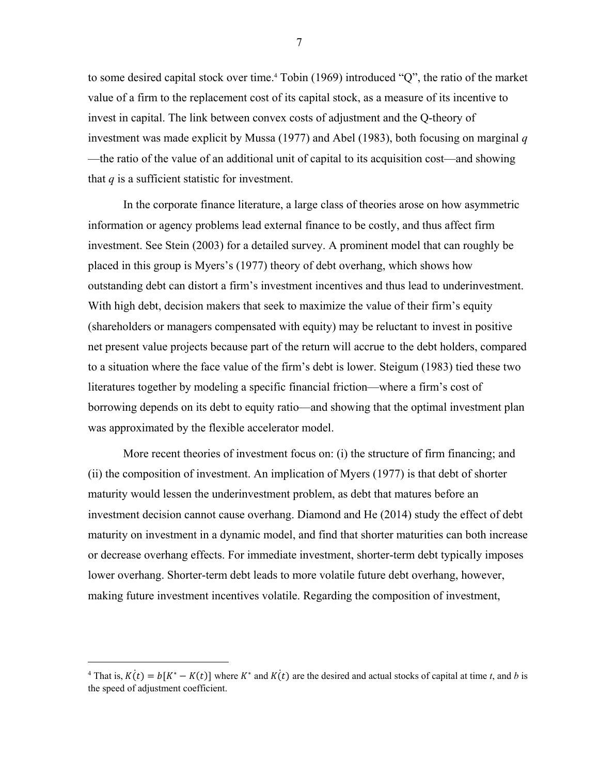to some desired capital stock over time.4 Tobin (1969) introduced "Q", the ratio of the market value of a firm to the replacement cost of its capital stock, as a measure of its incentive to invest in capital. The link between convex costs of adjustment and the Q-theory of investment was made explicit by Mussa (1977) and Abel (1983), both focusing on marginal *q* —the ratio of the value of an additional unit of capital to its acquisition cost—and showing that  $q$  is a sufficient statistic for investment.

 In the corporate finance literature, a large class of theories arose on how asymmetric information or agency problems lead external finance to be costly, and thus affect firm investment. See Stein (2003) for a detailed survey. A prominent model that can roughly be placed in this group is Myers's (1977) theory of debt overhang, which shows how outstanding debt can distort a firm's investment incentives and thus lead to underinvestment. With high debt, decision makers that seek to maximize the value of their firm's equity (shareholders or managers compensated with equity) may be reluctant to invest in positive net present value projects because part of the return will accrue to the debt holders, compared to a situation where the face value of the firm's debt is lower. Steigum (1983) tied these two literatures together by modeling a specific financial friction—where a firm's cost of borrowing depends on its debt to equity ratio—and showing that the optimal investment plan was approximated by the flexible accelerator model.

 More recent theories of investment focus on: (i) the structure of firm financing; and (ii) the composition of investment. An implication of Myers (1977) is that debt of shorter maturity would lessen the underinvestment problem, as debt that matures before an investment decision cannot cause overhang. Diamond and He (2014) study the effect of debt maturity on investment in a dynamic model, and find that shorter maturities can both increase or decrease overhang effects. For immediate investment, shorter-term debt typically imposes lower overhang. Shorter-term debt leads to more volatile future debt overhang, however, making future investment incentives volatile. Regarding the composition of investment,

1

<sup>&</sup>lt;sup>4</sup> That is,  $K(t) = b[K^* - K(t)]$  where  $K^*$  and  $K(t)$  are the desired and actual stocks of capital at time *t*, and *b* is the speed of adjustment coefficient.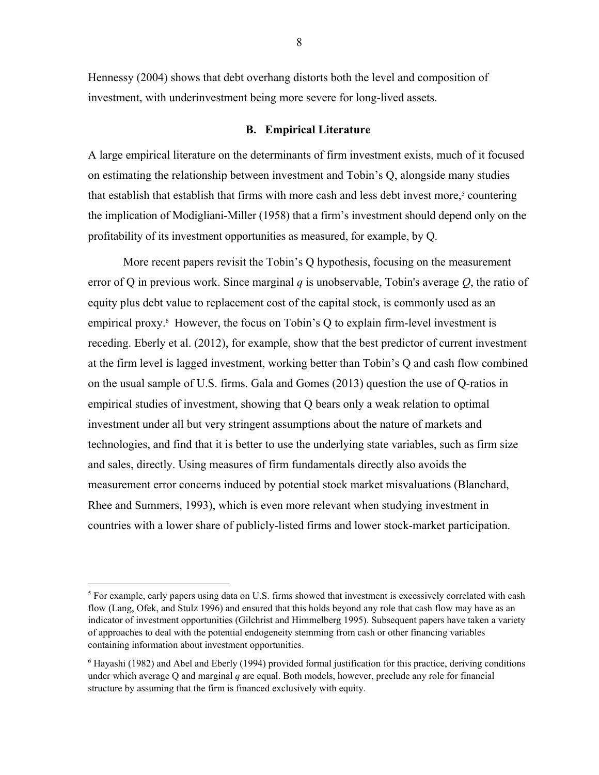Hennessy (2004) shows that debt overhang distorts both the level and composition of investment, with underinvestment being more severe for long-lived assets.

## **B. Empirical Literature**

A large empirical literature on the determinants of firm investment exists, much of it focused on estimating the relationship between investment and Tobin's Q, alongside many studies that establish that establish that firms with more cash and less debt invest more,<sup>5</sup> countering the implication of Modigliani-Miller (1958) that a firm's investment should depend only on the profitability of its investment opportunities as measured, for example, by Q.

 More recent papers revisit the Tobin's Q hypothesis, focusing on the measurement error of Q in previous work. Since marginal q is unobservable, Tobin's average  $Q$ , the ratio of equity plus debt value to replacement cost of the capital stock, is commonly used as an empirical proxy.<sup>6</sup> However, the focus on Tobin's Q to explain firm-level investment is receding. Eberly et al. (2012), for example, show that the best predictor of current investment at the firm level is lagged investment, working better than Tobin's Q and cash flow combined on the usual sample of U.S. firms. Gala and Gomes (2013) question the use of Q-ratios in empirical studies of investment, showing that Q bears only a weak relation to optimal investment under all but very stringent assumptions about the nature of markets and technologies, and find that it is better to use the underlying state variables, such as firm size and sales, directly. Using measures of firm fundamentals directly also avoids the measurement error concerns induced by potential stock market misvaluations (Blanchard, Rhee and Summers, 1993), which is even more relevant when studying investment in countries with a lower share of publicly-listed firms and lower stock-market participation.

 $\overline{a}$ 

<sup>&</sup>lt;sup>5</sup> For example, early papers using data on U.S. firms showed that investment is excessively correlated with cash flow (Lang, Ofek, and Stulz 1996) and ensured that this holds beyond any role that cash flow may have as an indicator of investment opportunities (Gilchrist and Himmelberg 1995). Subsequent papers have taken a variety of approaches to deal with the potential endogeneity stemming from cash or other financing variables containing information about investment opportunities.

<sup>&</sup>lt;sup>6</sup> Hayashi (1982) and Abel and Eberly (1994) provided formal justification for this practice, deriving conditions under which average Q and marginal *q* are equal. Both models, however, preclude any role for financial structure by assuming that the firm is financed exclusively with equity.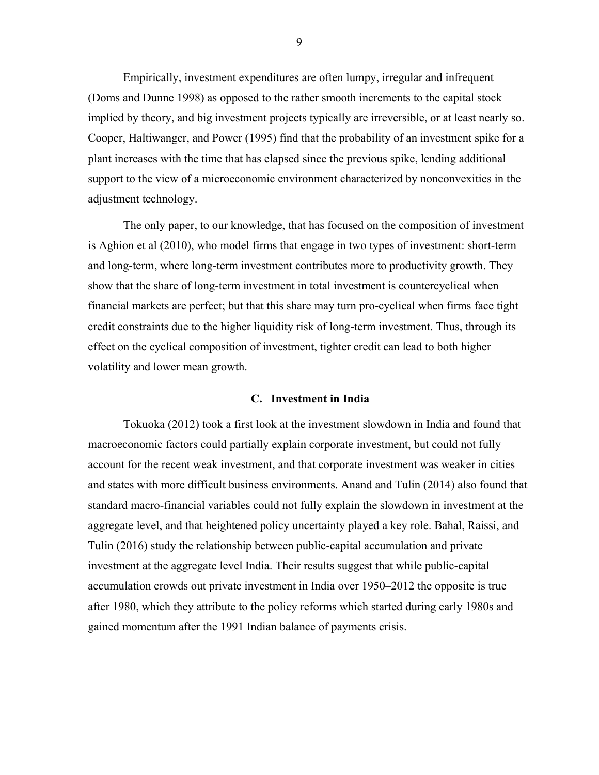Empirically, investment expenditures are often lumpy, irregular and infrequent (Doms and Dunne 1998) as opposed to the rather smooth increments to the capital stock implied by theory, and big investment projects typically are irreversible, or at least nearly so. Cooper, Haltiwanger, and Power (1995) find that the probability of an investment spike for a plant increases with the time that has elapsed since the previous spike, lending additional support to the view of a microeconomic environment characterized by nonconvexities in the adjustment technology.

 The only paper, to our knowledge, that has focused on the composition of investment is Aghion et al (2010), who model firms that engage in two types of investment: short-term and long-term, where long-term investment contributes more to productivity growth. They show that the share of long-term investment in total investment is countercyclical when financial markets are perfect; but that this share may turn pro-cyclical when firms face tight credit constraints due to the higher liquidity risk of long-term investment. Thus, through its effect on the cyclical composition of investment, tighter credit can lead to both higher volatility and lower mean growth.

## **C. Investment in India**

 Tokuoka (2012) took a first look at the investment slowdown in India and found that macroeconomic factors could partially explain corporate investment, but could not fully account for the recent weak investment, and that corporate investment was weaker in cities and states with more difficult business environments. Anand and Tulin (2014) also found that standard macro-financial variables could not fully explain the slowdown in investment at the aggregate level, and that heightened policy uncertainty played a key role. Bahal, Raissi, and Tulin (2016) study the relationship between public-capital accumulation and private investment at the aggregate level India. Their results suggest that while public-capital accumulation crowds out private investment in India over 1950–2012 the opposite is true after 1980, which they attribute to the policy reforms which started during early 1980s and gained momentum after the 1991 Indian balance of payments crisis.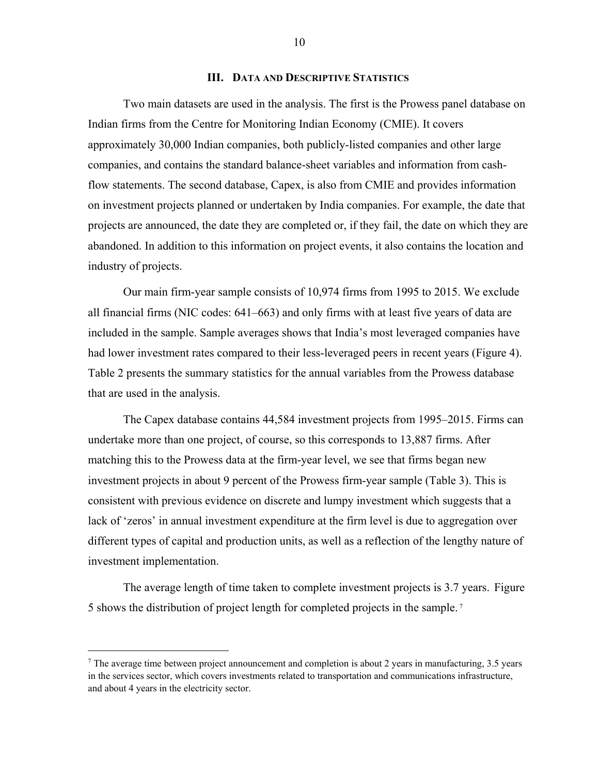## **III. DATA AND DESCRIPTIVE STATISTICS**

 Two main datasets are used in the analysis. The first is the Prowess panel database on Indian firms from the Centre for Monitoring Indian Economy (CMIE). It covers approximately 30,000 Indian companies, both publicly-listed companies and other large companies, and contains the standard balance-sheet variables and information from cashflow statements. The second database, Capex, is also from CMIE and provides information on investment projects planned or undertaken by India companies. For example, the date that projects are announced, the date they are completed or, if they fail, the date on which they are abandoned. In addition to this information on project events, it also contains the location and industry of projects.

 Our main firm-year sample consists of 10,974 firms from 1995 to 2015. We exclude all financial firms (NIC codes: 641–663) and only firms with at least five years of data are included in the sample. Sample averages shows that India's most leveraged companies have had lower investment rates compared to their less-leveraged peers in recent years (Figure 4). Table 2 presents the summary statistics for the annual variables from the Prowess database that are used in the analysis.

 The Capex database contains 44,584 investment projects from 1995–2015. Firms can undertake more than one project, of course, so this corresponds to 13,887 firms. After matching this to the Prowess data at the firm-year level, we see that firms began new investment projects in about 9 percent of the Prowess firm-year sample (Table 3). This is consistent with previous evidence on discrete and lumpy investment which suggests that a lack of 'zeros' in annual investment expenditure at the firm level is due to aggregation over different types of capital and production units, as well as a reflection of the lengthy nature of investment implementation.

 The average length of time taken to complete investment projects is 3.7 years. Figure 5 shows the distribution of project length for completed projects in the sample. 7

 $\overline{a}$ 

The average time between project announcement and completion is about 2 years in manufacturing, 3.5 years in the services sector, which covers investments related to transportation and communications infrastructure, and about 4 years in the electricity sector.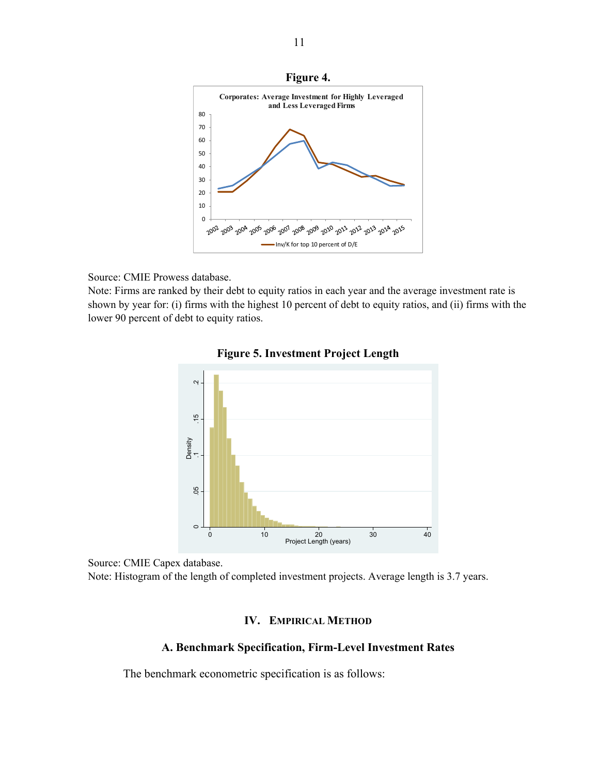

## Source: CMIE Prowess database.

Note: Firms are ranked by their debt to equity ratios in each year and the average investment rate is shown by year for: (i) firms with the highest 10 percent of debt to equity ratios, and (ii) firms with the lower 90 percent of debt to equity ratios.





Source: CMIE Capex database.

Note: Histogram of the length of completed investment projects. Average length is 3.7 years.

# **IV. EMPIRICAL METHOD**

## **A. Benchmark Specification, Firm-Level Investment Rates**

The benchmark econometric specification is as follows: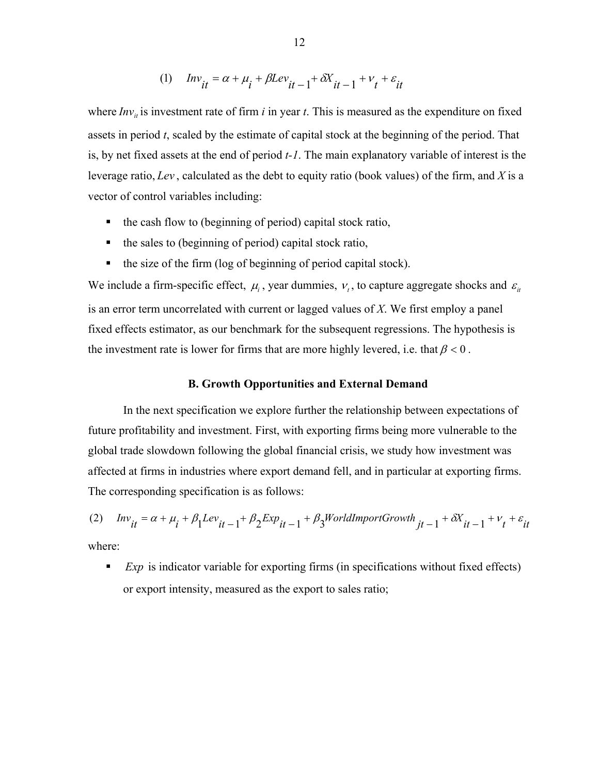$$
(1) \quad Inv_{it} = \alpha + \mu_i + \beta Lev_{it-1} + \delta X_{it-1} + v_t + \varepsilon_{it}
$$

where  $Inv_{ii}$  is investment rate of firm  $i$  in year  $t$ . This is measured as the expenditure on fixed assets in period *t*, scaled by the estimate of capital stock at the beginning of the period. That is, by net fixed assets at the end of period *t-1*. The main explanatory variable of interest is the leverage ratio, *Lev* , calculated as the debt to equity ratio (book values) of the firm, and *X* is a vector of control variables including:

- $\blacksquare$  the cash flow to (beginning of period) capital stock ratio,
- $\blacksquare$  the sales to (beginning of period) capital stock ratio,
- $\blacksquare$  the size of the firm (log of beginning of period capital stock).

We include a firm-specific effect,  $\mu_i$ , year dummies,  $\nu_i$ , to capture aggregate shocks and  $\varepsilon_i$ is an error term uncorrelated with current or lagged values of *X*. We first employ a panel fixed effects estimator, as our benchmark for the subsequent regressions. The hypothesis is the investment rate is lower for firms that are more highly levered, i.e. that  $\beta < 0$ .

# **B. Growth Opportunities and External Demand**

 In the next specification we explore further the relationship between expectations of future profitability and investment. First, with exporting firms being more vulnerable to the global trade slowdown following the global financial crisis, we study how investment was affected at firms in industries where export demand fell, and in particular at exporting firms. The corresponding specification is as follows:

(2)  $Inv_{it} = \alpha + \mu_i + \beta_1 Lev_{it-1} + \beta_2 Exp_{it-1} + \beta_3 WorldImportGrowth_{it-1} + \delta X_{it-1} + v_t + \varepsilon_{it}$ where:

**Exp** is indicator variable for exporting firms (in specifications without fixed effects) or export intensity, measured as the export to sales ratio;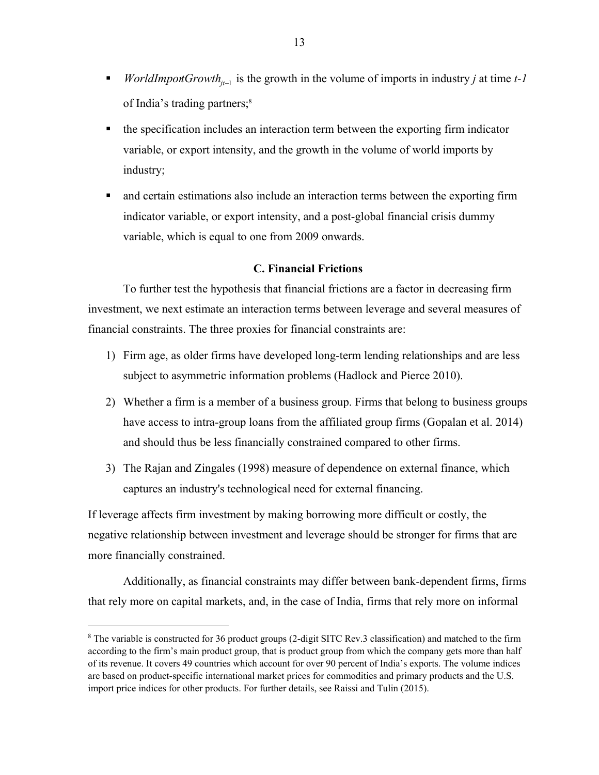- *VorldImportGrowth*<sub>*i*-1</sub> is the growth in the volume of imports in industry *j* at time  $t$ -1 of India's trading partners;<sup>8</sup>
- the specification includes an interaction term between the exporting firm indicator variable, or export intensity, and the growth in the volume of world imports by industry;
- and certain estimations also include an interaction terms between the exporting firm indicator variable, or export intensity, and a post-global financial crisis dummy variable, which is equal to one from 2009 onwards.

## **C. Financial Frictions**

 To further test the hypothesis that financial frictions are a factor in decreasing firm investment, we next estimate an interaction terms between leverage and several measures of financial constraints. The three proxies for financial constraints are:

- 1) Firm age, as older firms have developed long-term lending relationships and are less subject to asymmetric information problems (Hadlock and Pierce 2010).
- 2) Whether a firm is a member of a business group. Firms that belong to business groups have access to intra-group loans from the affiliated group firms (Gopalan et al. 2014) and should thus be less financially constrained compared to other firms.
- 3) The Rajan and Zingales (1998) measure of dependence on external finance, which captures an industry's technological need for external financing.

If leverage affects firm investment by making borrowing more difficult or costly, the negative relationship between investment and leverage should be stronger for firms that are more financially constrained.

 Additionally, as financial constraints may differ between bank-dependent firms, firms that rely more on capital markets, and, in the case of India, firms that rely more on informal

 $\overline{a}$ 

<sup>&</sup>lt;sup>8</sup> The variable is constructed for 36 product groups (2-digit SITC Rev.3 classification) and matched to the firm according to the firm's main product group, that is product group from which the company gets more than half of its revenue. It covers 49 countries which account for over 90 percent of India's exports. The volume indices are based on product-specific international market prices for commodities and primary products and the U.S. import price indices for other products. For further details, see Raissi and Tulin (2015).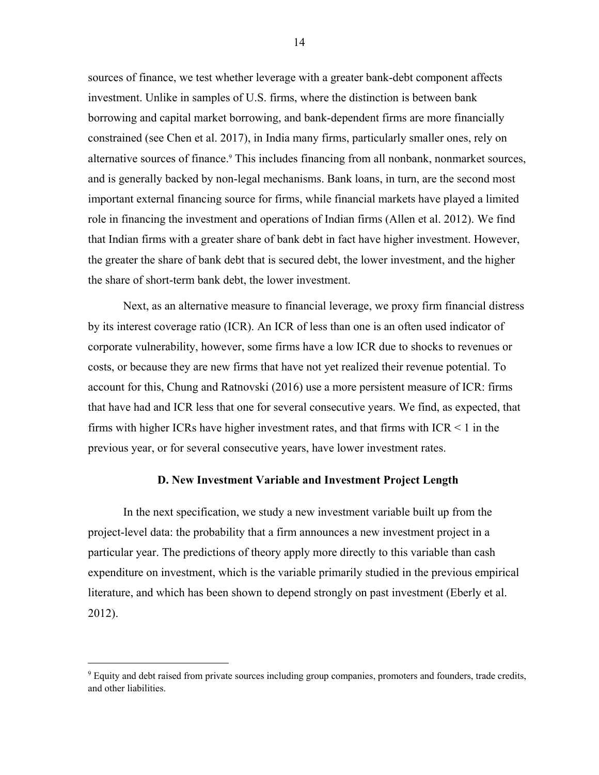sources of finance, we test whether leverage with a greater bank-debt component affects investment. Unlike in samples of U.S. firms, where the distinction is between bank borrowing and capital market borrowing, and bank-dependent firms are more financially constrained (see Chen et al. 2017), in India many firms, particularly smaller ones, rely on alternative sources of finance.<sup>9</sup> This includes financing from all nonbank, nonmarket sources, and is generally backed by non-legal mechanisms. Bank loans, in turn, are the second most important external financing source for firms, while financial markets have played a limited role in financing the investment and operations of Indian firms (Allen et al. 2012). We find that Indian firms with a greater share of bank debt in fact have higher investment. However, the greater the share of bank debt that is secured debt, the lower investment, and the higher the share of short-term bank debt, the lower investment.

 Next, as an alternative measure to financial leverage, we proxy firm financial distress by its interest coverage ratio (ICR). An ICR of less than one is an often used indicator of corporate vulnerability, however, some firms have a low ICR due to shocks to revenues or costs, or because they are new firms that have not yet realized their revenue potential. To account for this, Chung and Ratnovski (2016) use a more persistent measure of ICR: firms that have had and ICR less that one for several consecutive years. We find, as expected, that firms with higher ICRs have higher investment rates, and that firms with  $ICR < 1$  in the previous year, or for several consecutive years, have lower investment rates.

## **D. New Investment Variable and Investment Project Length**

 In the next specification, we study a new investment variable built up from the project-level data: the probability that a firm announces a new investment project in a particular year. The predictions of theory apply more directly to this variable than cash expenditure on investment, which is the variable primarily studied in the previous empirical literature, and which has been shown to depend strongly on past investment (Eberly et al. 2012).

 $\overline{a}$ 

<sup>&</sup>lt;sup>9</sup> Equity and debt raised from private sources including group companies, promoters and founders, trade credits, and other liabilities.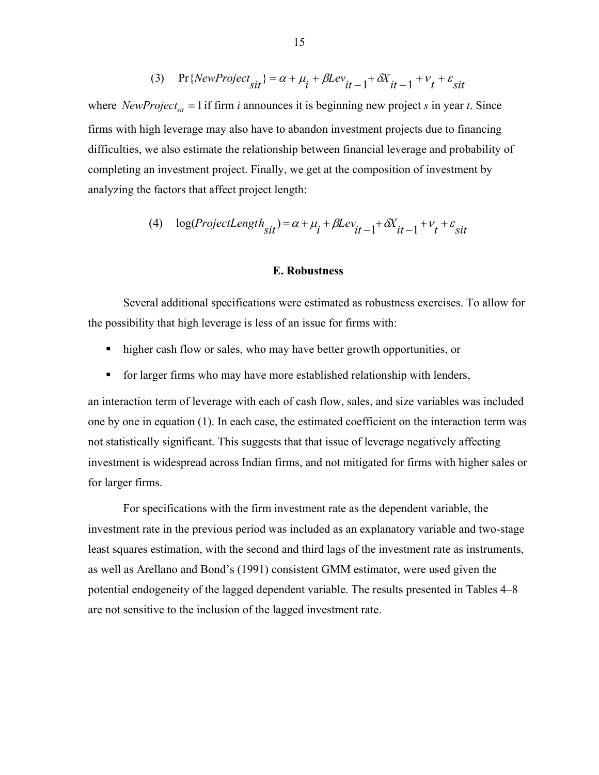(3) 
$$
\Pr\{NewProject_{sit}\} = \alpha + \mu_i + \beta Lev_{it-1} + \delta X_{it-1} + v_t + \varepsilon_{sit}
$$

where *NewProject<sub>sit</sub>* = 1 if firm *i* announces it is beginning new project *s* in year *t*. Since firms with high leverage may also have to abandon investment projects due to financing difficulties, we also estimate the relationship between financial leverage and probability of completing an investment project. Finally, we get at the composition of investment by analyzing the factors that affect project length:

(4) 
$$
\log(ProjectLength_{sit}) = \alpha + \mu_i + \beta Lev_{it-1} + \delta X_{it-1} + \nu_t + \varepsilon_{sit}
$$

## **E. Robustness**

 Several additional specifications were estimated as robustness exercises. To allow for the possibility that high leverage is less of an issue for firms with:

- higher cash flow or sales, who may have better growth opportunities, or
- for larger firms who may have more established relationship with lenders,

an interaction term of leverage with each of cash flow, sales, and size variables was included one by one in equation (1). In each case, the estimated coefficient on the interaction term was not statistically significant. This suggests that that issue of leverage negatively affecting investment is widespread across Indian firms, and not mitigated for firms with higher sales or for larger firms.

 For specifications with the firm investment rate as the dependent variable, the investment rate in the previous period was included as an explanatory variable and two-stage least squares estimation, with the second and third lags of the investment rate as instruments, as well as Arellano and Bond's (1991) consistent GMM estimator, were used given the potential endogeneity of the lagged dependent variable. The results presented in Tables 4–8 are not sensitive to the inclusion of the lagged investment rate.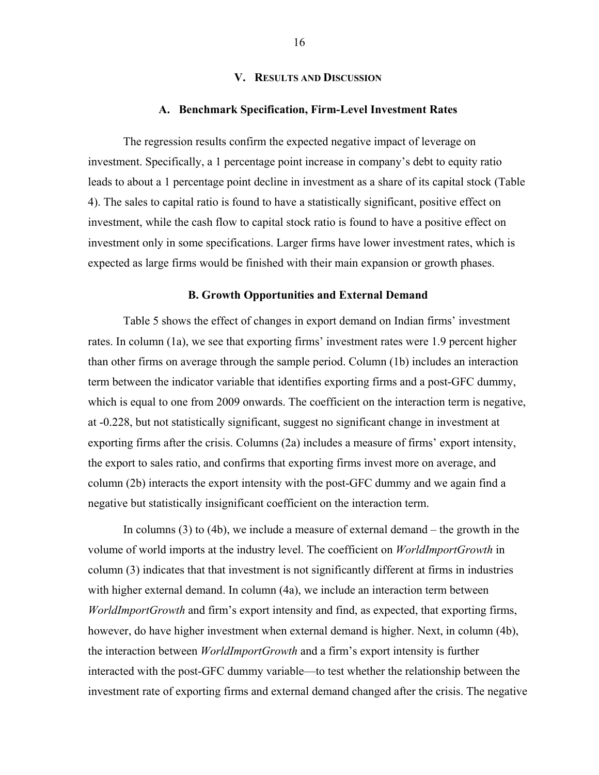## **V. RESULTS AND DISCUSSION**

#### **A. Benchmark Specification, Firm-Level Investment Rates**

 The regression results confirm the expected negative impact of leverage on investment. Specifically, a 1 percentage point increase in company's debt to equity ratio leads to about a 1 percentage point decline in investment as a share of its capital stock (Table 4). The sales to capital ratio is found to have a statistically significant, positive effect on investment, while the cash flow to capital stock ratio is found to have a positive effect on investment only in some specifications. Larger firms have lower investment rates, which is expected as large firms would be finished with their main expansion or growth phases.

## **B. Growth Opportunities and External Demand**

 Table 5 shows the effect of changes in export demand on Indian firms' investment rates. In column (1a), we see that exporting firms' investment rates were 1.9 percent higher than other firms on average through the sample period. Column (1b) includes an interaction term between the indicator variable that identifies exporting firms and a post-GFC dummy, which is equal to one from 2009 onwards. The coefficient on the interaction term is negative, at -0.228, but not statistically significant, suggest no significant change in investment at exporting firms after the crisis. Columns (2a) includes a measure of firms' export intensity, the export to sales ratio, and confirms that exporting firms invest more on average, and column (2b) interacts the export intensity with the post-GFC dummy and we again find a negative but statistically insignificant coefficient on the interaction term.

 In columns (3) to (4b), we include a measure of external demand – the growth in the volume of world imports at the industry level. The coefficient on *WorldImportGrowth* in column (3) indicates that that investment is not significantly different at firms in industries with higher external demand. In column (4a), we include an interaction term between *WorldImportGrowth* and firm's export intensity and find, as expected, that exporting firms, however, do have higher investment when external demand is higher. Next, in column (4b), the interaction between *WorldImportGrowth* and a firm's export intensity is further interacted with the post-GFC dummy variable—to test whether the relationship between the investment rate of exporting firms and external demand changed after the crisis. The negative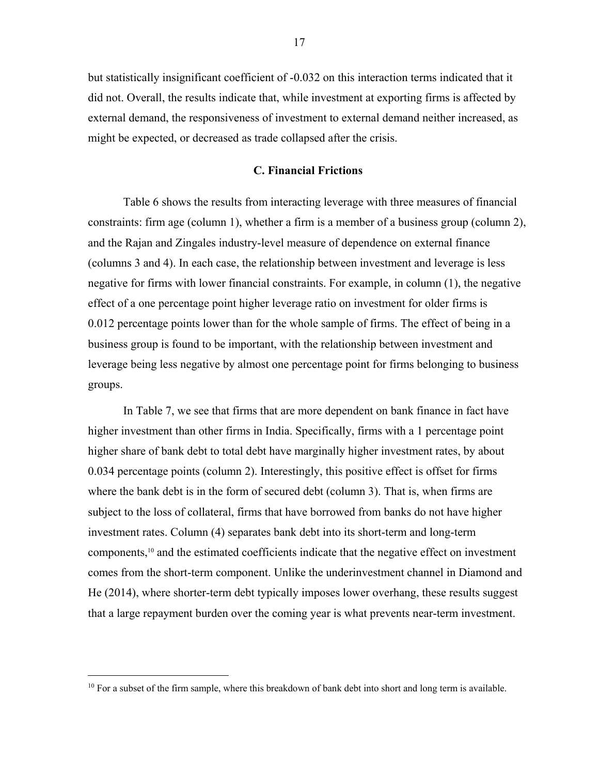but statistically insignificant coefficient of -0.032 on this interaction terms indicated that it did not. Overall, the results indicate that, while investment at exporting firms is affected by external demand, the responsiveness of investment to external demand neither increased, as might be expected, or decreased as trade collapsed after the crisis.

## **C. Financial Frictions**

 Table 6 shows the results from interacting leverage with three measures of financial constraints: firm age (column 1), whether a firm is a member of a business group (column 2), and the Rajan and Zingales industry-level measure of dependence on external finance (columns 3 and 4). In each case, the relationship between investment and leverage is less negative for firms with lower financial constraints. For example, in column (1), the negative effect of a one percentage point higher leverage ratio on investment for older firms is 0.012 percentage points lower than for the whole sample of firms. The effect of being in a business group is found to be important, with the relationship between investment and leverage being less negative by almost one percentage point for firms belonging to business groups.

 In Table 7, we see that firms that are more dependent on bank finance in fact have higher investment than other firms in India. Specifically, firms with a 1 percentage point higher share of bank debt to total debt have marginally higher investment rates, by about 0.034 percentage points (column 2). Interestingly, this positive effect is offset for firms where the bank debt is in the form of secured debt (column 3). That is, when firms are subject to the loss of collateral, firms that have borrowed from banks do not have higher investment rates. Column (4) separates bank debt into its short-term and long-term components,10 and the estimated coefficients indicate that the negative effect on investment comes from the short-term component. Unlike the underinvestment channel in Diamond and He (2014), where shorter-term debt typically imposes lower overhang, these results suggest that a large repayment burden over the coming year is what prevents near-term investment.

<sup>&</sup>lt;sup>10</sup> For a subset of the firm sample, where this breakdown of bank debt into short and long term is available.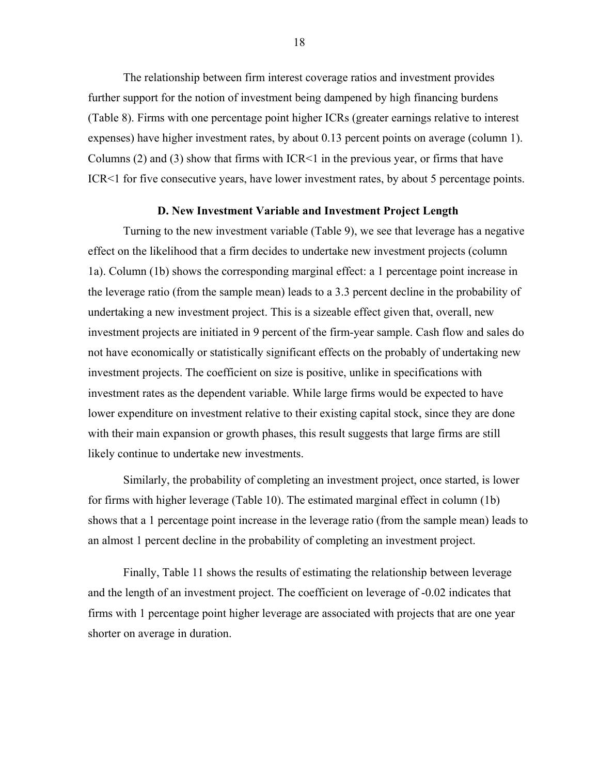The relationship between firm interest coverage ratios and investment provides further support for the notion of investment being dampened by high financing burdens (Table 8). Firms with one percentage point higher ICRs (greater earnings relative to interest expenses) have higher investment rates, by about 0.13 percent points on average (column 1). Columns  $(2)$  and  $(3)$  show that firms with ICR<1 in the previous year, or firms that have ICR<1 for five consecutive years, have lower investment rates, by about 5 percentage points.

#### **D. New Investment Variable and Investment Project Length**

 Turning to the new investment variable (Table 9), we see that leverage has a negative effect on the likelihood that a firm decides to undertake new investment projects (column 1a). Column (1b) shows the corresponding marginal effect: a 1 percentage point increase in the leverage ratio (from the sample mean) leads to a 3.3 percent decline in the probability of undertaking a new investment project. This is a sizeable effect given that, overall, new investment projects are initiated in 9 percent of the firm-year sample. Cash flow and sales do not have economically or statistically significant effects on the probably of undertaking new investment projects. The coefficient on size is positive, unlike in specifications with investment rates as the dependent variable. While large firms would be expected to have lower expenditure on investment relative to their existing capital stock, since they are done with their main expansion or growth phases, this result suggests that large firms are still likely continue to undertake new investments.

 Similarly, the probability of completing an investment project, once started, is lower for firms with higher leverage (Table 10). The estimated marginal effect in column (1b) shows that a 1 percentage point increase in the leverage ratio (from the sample mean) leads to an almost 1 percent decline in the probability of completing an investment project.

 Finally, Table 11 shows the results of estimating the relationship between leverage and the length of an investment project. The coefficient on leverage of -0.02 indicates that firms with 1 percentage point higher leverage are associated with projects that are one year shorter on average in duration.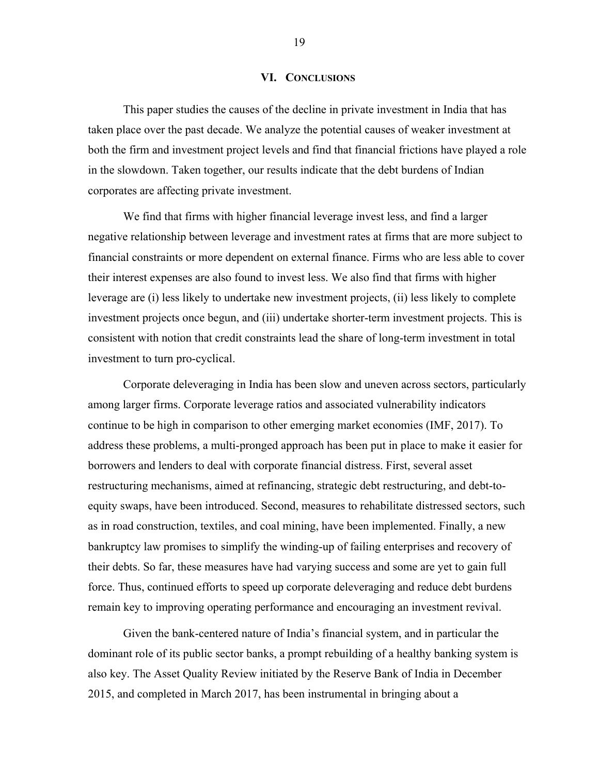## **VI. CONCLUSIONS**

 This paper studies the causes of the decline in private investment in India that has taken place over the past decade. We analyze the potential causes of weaker investment at both the firm and investment project levels and find that financial frictions have played a role in the slowdown. Taken together, our results indicate that the debt burdens of Indian corporates are affecting private investment.

 We find that firms with higher financial leverage invest less, and find a larger negative relationship between leverage and investment rates at firms that are more subject to financial constraints or more dependent on external finance. Firms who are less able to cover their interest expenses are also found to invest less. We also find that firms with higher leverage are (i) less likely to undertake new investment projects, (ii) less likely to complete investment projects once begun, and (iii) undertake shorter-term investment projects. This is consistent with notion that credit constraints lead the share of long-term investment in total investment to turn pro-cyclical.

 Corporate deleveraging in India has been slow and uneven across sectors, particularly among larger firms. Corporate leverage ratios and associated vulnerability indicators continue to be high in comparison to other emerging market economies (IMF, 2017). To address these problems, a multi-pronged approach has been put in place to make it easier for borrowers and lenders to deal with corporate financial distress. First, several asset restructuring mechanisms, aimed at refinancing, strategic debt restructuring, and debt-toequity swaps, have been introduced. Second, measures to rehabilitate distressed sectors, such as in road construction, textiles, and coal mining, have been implemented. Finally, a new bankruptcy law promises to simplify the winding-up of failing enterprises and recovery of their debts. So far, these measures have had varying success and some are yet to gain full force. Thus, continued efforts to speed up corporate deleveraging and reduce debt burdens remain key to improving operating performance and encouraging an investment revival.

 Given the bank-centered nature of India's financial system, and in particular the dominant role of its public sector banks, a prompt rebuilding of a healthy banking system is also key. The Asset Quality Review initiated by the Reserve Bank of India in December 2015, and completed in March 2017, has been instrumental in bringing about a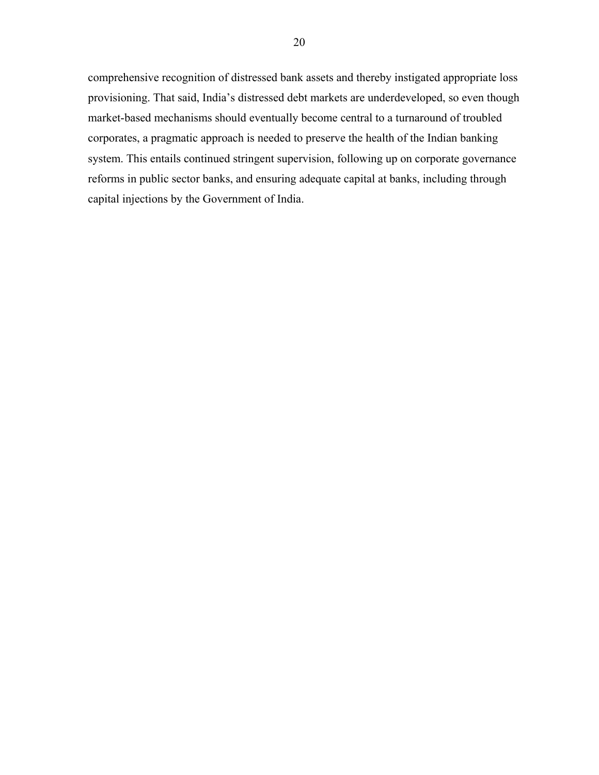comprehensive recognition of distressed bank assets and thereby instigated appropriate loss provisioning. That said, India's distressed debt markets are underdeveloped, so even though market-based mechanisms should eventually become central to a turnaround of troubled corporates, a pragmatic approach is needed to preserve the health of the Indian banking system. This entails continued stringent supervision, following up on corporate governance reforms in public sector banks, and ensuring adequate capital at banks, including through capital injections by the Government of India.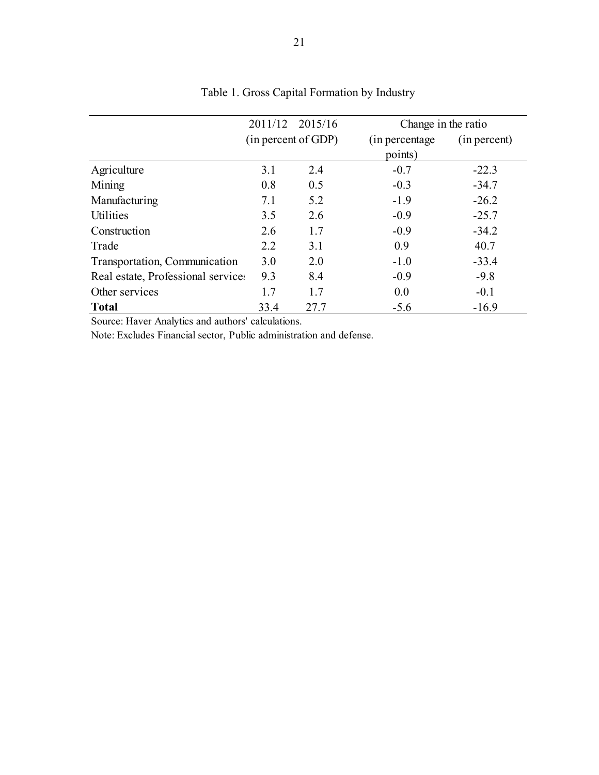|                                    |                     | 2011/12 2015/16 | Change in the ratio             |         |  |  |  |
|------------------------------------|---------------------|-----------------|---------------------------------|---------|--|--|--|
|                                    | (in percent of GDP) |                 | (in percentage)<br>(in percent) |         |  |  |  |
| points)                            |                     |                 |                                 |         |  |  |  |
| Agriculture                        | 3.1                 | 2.4             | $-0.7$                          | $-22.3$ |  |  |  |
| Mining                             | 0.8                 | 0.5             | $-0.3$                          | $-34.7$ |  |  |  |
| Manufacturing                      | 7.1                 | 5.2             | $-1.9$                          | $-26.2$ |  |  |  |
| Utilities                          | 3.5                 | 2.6             | $-0.9$                          | $-25.7$ |  |  |  |
| Construction                       | 2.6                 | 1.7             | $-0.9$                          | $-34.2$ |  |  |  |
| Trade                              | 2.2                 | 3.1             | 0.9                             | 40.7    |  |  |  |
| Transportation, Communication      | 3.0                 | 2.0             | $-1.0$                          | $-33.4$ |  |  |  |
| Real estate, Professional services | 9.3                 | 8.4             | $-0.9$                          | $-9.8$  |  |  |  |
| Other services                     | 1.7                 | 1.7             | 0.0                             | $-0.1$  |  |  |  |
| <b>Total</b>                       | 33.4                | 27.7            | $-5.6$                          | $-16.9$ |  |  |  |

# Table 1. Gross Capital Formation by Industry

Source: Haver Analytics and authors' calculations.

Note: Excludes Financial sector, Public administration and defense.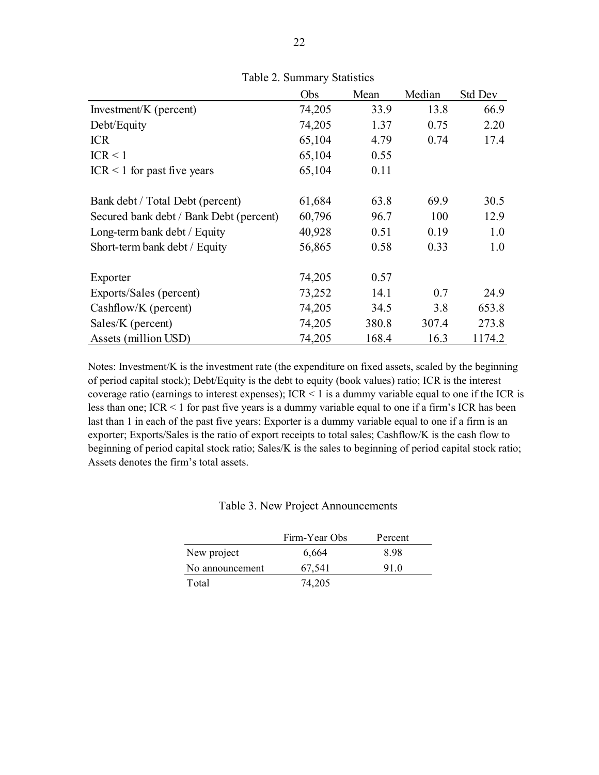|                                         | Obs    | Mean  | Median | <b>Std Dev</b> |
|-----------------------------------------|--------|-------|--------|----------------|
| Investment/K (percent)                  | 74,205 | 33.9  | 13.8   | 66.9           |
| Debt/Equity                             | 74,205 | 1.37  | 0.75   | 2.20           |
| <b>ICR</b>                              | 65,104 | 4.79  | 0.74   | 17.4           |
| ICR < 1                                 | 65,104 | 0.55  |        |                |
| $ICR < 1$ for past five years           | 65,104 | 0.11  |        |                |
| Bank debt / Total Debt (percent)        | 61,684 | 63.8  | 69.9   | 30.5           |
| Secured bank debt / Bank Debt (percent) | 60,796 | 96.7  | 100    | 12.9           |
| Long-term bank debt / Equity            | 40,928 | 0.51  | 0.19   | 1.0            |
| Short-term bank debt / Equity           | 56,865 | 0.58  | 0.33   | 1.0            |
| Exporter                                | 74,205 | 0.57  |        |                |
| Exports/Sales (percent)                 | 73,252 | 14.1  | 0.7    | 24.9           |
| Cashflow/K (percent)                    | 74,205 | 34.5  | 3.8    | 653.8          |
| Sales/K (percent)                       | 74,205 | 380.8 | 307.4  | 273.8          |
| Assets (million USD)                    | 74,205 | 168.4 | 16.3   | 1174.2         |

Table 2. Summary Statistics

Notes: Investment/K is the investment rate (the expenditure on fixed assets, scaled by the beginning of period capital stock); Debt/Equity is the debt to equity (book values) ratio; ICR is the interest coverage ratio (earnings to interest expenses); ICR < 1 is a dummy variable equal to one if the ICR is less than one; ICR < 1 for past five years is a dummy variable equal to one if a firm's ICR has been last than 1 in each of the past five years; Exporter is a dummy variable equal to one if a firm is an exporter; Exports/Sales is the ratio of export receipts to total sales; Cashflow/K is the cash flow to beginning of period capital stock ratio; Sales/K is the sales to beginning of period capital stock ratio; Assets denotes the firm's total assets.

|                 | Firm-Year Obs | Percent |  |
|-----------------|---------------|---------|--|
| New project     | 6,664         | 898     |  |
| No announcement | 67,541        | 910     |  |
| Total           | 74,205        |         |  |

| Table 3. New Project Announcements |
|------------------------------------|
|------------------------------------|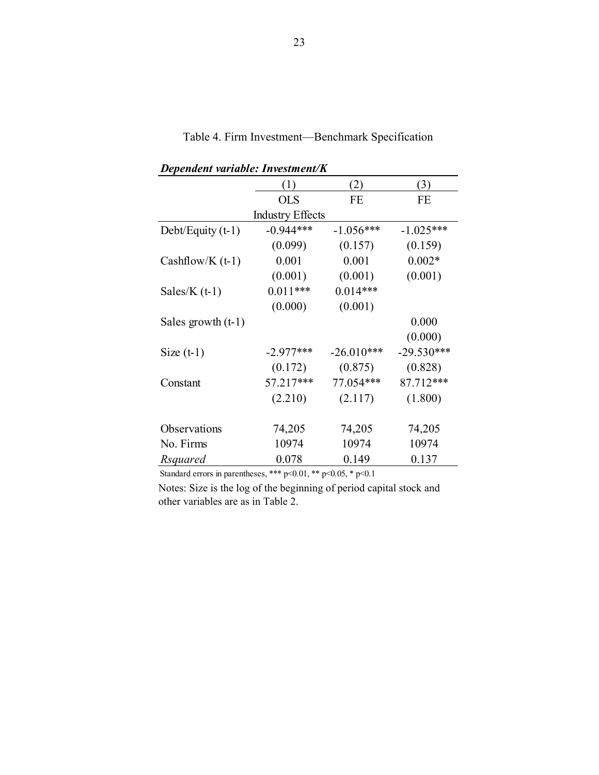| Dependent variable. Investment/K |                         |              |              |
|----------------------------------|-------------------------|--------------|--------------|
|                                  | (1)                     | (2)          | (3)          |
|                                  | <b>OLS</b>              | FE           | FE           |
|                                  | <b>Industry Effects</b> |              |              |
| Debt/Equity $(t-1)$              | $-0.944***$             | $-1.056***$  | $-1.025***$  |
|                                  | (0.099)                 | (0.157)      | (0.159)      |
| Cashflow/K $(t-1)$               | 0.001                   | 0.001        | $0.002*$     |
|                                  | (0.001)                 | (0.001)      | (0.001)      |
| Sales/ $K(t-1)$                  | $0.011***$              | $0.014***$   |              |
|                                  | (0.000)                 | (0.001)      |              |
| Sales growth $(t-1)$             |                         |              | 0.000        |
|                                  |                         |              | (0.000)      |
| Size $(t-1)$                     | $-2.977***$             | $-26.010***$ | $-29.530***$ |
|                                  | (0.172)                 | (0.875)      | (0.828)      |
| Constant                         | 57.217***               | 77.054***    | 87.712***    |
|                                  | (2.210)                 | (2.117)      | (1.800)      |
|                                  |                         |              |              |
| Observations                     | 74,205                  | 74,205       | 74,205       |
| No. Firms                        | 10974                   | 10974        | 10974        |
| Rsquared                         | 0.078                   | 0.149        | 0.137        |

Table 4. Firm Investment—Benchmark Specification

*Dependent variable: Investment/K*

Standard errors in parentheses, \*\*\* p<0.01, \*\* p<0.05, \* p<0.1

Notes: Size is the log of the beginning of period capital stock and other variables are as in Table 2.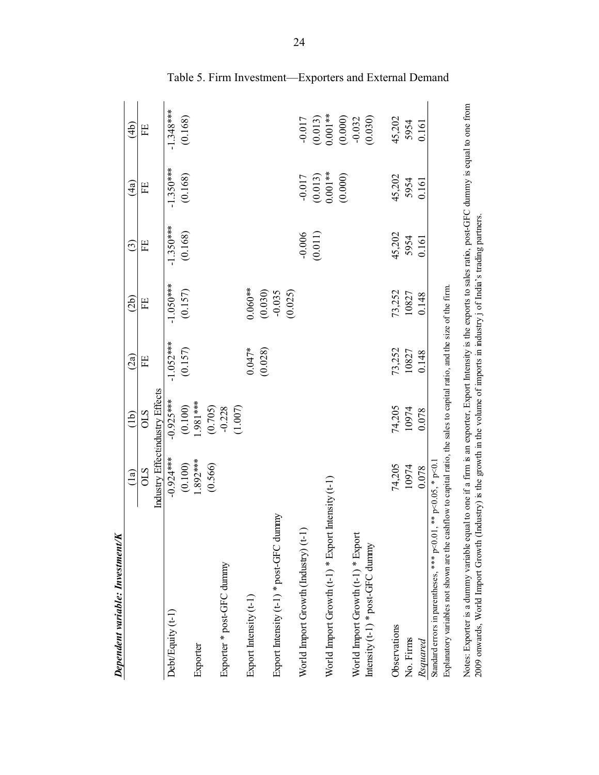| <b>Dependent variable: Investment/K</b>                                                                                                                        |                                 |                |               |                     |             |             |                |
|----------------------------------------------------------------------------------------------------------------------------------------------------------------|---------------------------------|----------------|---------------|---------------------|-------------|-------------|----------------|
|                                                                                                                                                                | $\left( \ln \right)$            | $\overline{1}$ | $\widehat{c}$ | $\widetilde{2b}$    | ⊙ି          | ति<br>प     | $\widehat{4b}$ |
|                                                                                                                                                                | STO                             | STO            | Ë             | Ë                   | 田           | EE          | 田              |
|                                                                                                                                                                | Industry Effect:ndustry Effects |                |               |                     |             |             |                |
| Debt/Equity (t-1)                                                                                                                                              | $-0.924***$                     | $-0.925***$    | $-1.052***$   | $-1.050***$         | $-1.350***$ | $-1.350***$ | $-1.348***$    |
|                                                                                                                                                                | (0.100)                         | (0.100)        | (0.157)       | (0.157)             | (0.168)     | (0.168)     | (0.168)        |
| Exporter                                                                                                                                                       | $.892***$                       | $-981***$      |               |                     |             |             |                |
|                                                                                                                                                                | (0.566)                         | (0.705)        |               |                     |             |             |                |
| Exporter * post-GFC dummy                                                                                                                                      |                                 | $-0.228$       |               |                     |             |             |                |
|                                                                                                                                                                |                                 | (1.007)        |               |                     |             |             |                |
| Export Intensity (t-1)                                                                                                                                         |                                 |                | $0.047*$      | $0.060**$           |             |             |                |
|                                                                                                                                                                |                                 |                | (0.028)       | (0.030)             |             |             |                |
| dunnny<br>Export Intensity (t-1) * post-GFC                                                                                                                    |                                 |                |               | $-0.035$<br>(0.025) |             |             |                |
| World Import Growth (Industry) (t-1)                                                                                                                           |                                 |                |               |                     | $-0.006$    | $-0.017$    | $-0.017$       |
|                                                                                                                                                                |                                 |                |               |                     | (0.011)     | (0.013)     | (0.013)        |
| World Import Growth (t-1) * Export Intensity (t-1)                                                                                                             |                                 |                |               |                     |             | $0.001**$   | $0.001**$      |
|                                                                                                                                                                |                                 |                |               |                     |             | (0.000)     | (0.000)        |
| World Import Growth (t-1) * Export                                                                                                                             |                                 |                |               |                     |             |             | $-0.032$       |
| Intensity (t-1) * post-GFC dummy                                                                                                                               |                                 |                |               |                     |             |             | (0.030)        |
| Observations                                                                                                                                                   | 74,205                          | 74,205         | 73,252        | 73,252              | 45,202      | 45,202      | 45,202         |
| No. Firms                                                                                                                                                      | 10974                           | 10974          | 10827         | 10827               | 5954        | 5954        | 5954           |
| Rsquared                                                                                                                                                       | 0.078                           | 0.078          | 0.148         | 0.148               | 0.161       | 0.161       | 0.161          |
| Standard errors in parentheses, *** $p<0.01$ , ** $p<0.05$ , * $p<0.1$                                                                                         |                                 |                |               |                     |             |             |                |
| Explanatory variables not shown are the cashflow to capital ratio, the sales to capital ratio, and the size of the firm.                                       |                                 |                |               |                     |             |             |                |
| Notes: Exporter is a dummy variable equal to one if a firm is an exporter, Export Intensity is the exports to sales ratio, post-GFC dummy is equal to one from |                                 |                |               |                     |             |             |                |
| 2009 onwards, World Import Growth (Industry) is the growth in the volume of imports in industry j of India's trading partners.                                 |                                 |                |               |                     |             |             |                |

Table 5. Firm Investment—Exporters and External Demand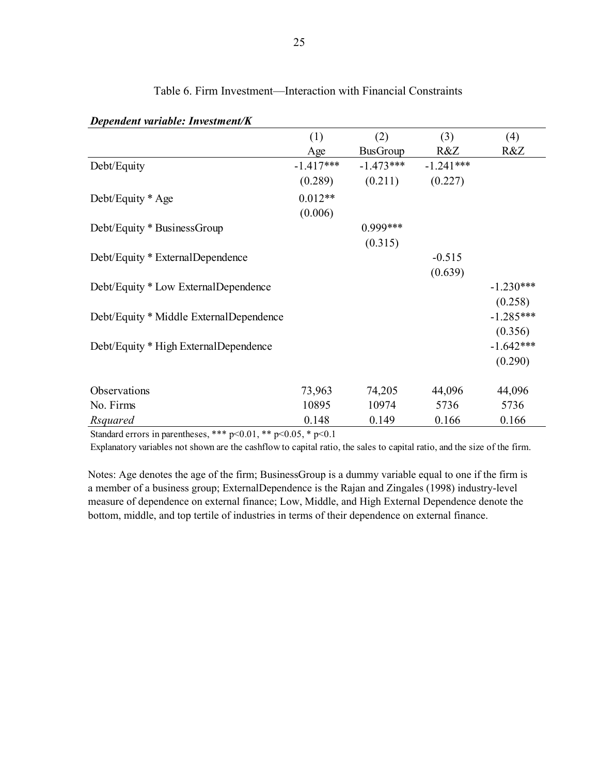| Dependent variable, Investment/R                            |                   |                 |             |             |
|-------------------------------------------------------------|-------------------|-----------------|-------------|-------------|
|                                                             | (1)               | (2)             | (3)         | (4)         |
|                                                             | Age               | <b>BusGroup</b> | R&Z         | R&Z         |
| Debt/Equity                                                 | $-1.417***$       | $-1.473***$     | $-1.241***$ |             |
|                                                             | (0.289)           | (0.211)         | (0.227)     |             |
| Debt/Equity * Age                                           | $0.012**$         |                 |             |             |
|                                                             | (0.006)           |                 |             |             |
| Debt/Equity * BusinessGroup                                 |                   | 0.999***        |             |             |
|                                                             |                   | (0.315)         |             |             |
| Debt/Equity * ExternalDependence                            |                   |                 | $-0.515$    |             |
|                                                             |                   |                 | (0.639)     |             |
| Debt/Equity * Low ExternalDependence                        |                   |                 |             | $-1.230***$ |
|                                                             |                   |                 |             | (0.258)     |
| Debt/Equity * Middle ExternalDependence                     |                   |                 |             | $-1.285***$ |
|                                                             |                   |                 |             | (0.356)     |
| Debt/Equity * High ExternalDependence                       |                   |                 |             | $-1.642***$ |
|                                                             |                   |                 |             | (0.290)     |
| Observations                                                | 73,963            | 74,205          | 44,096      | 44,096      |
| No. Firms                                                   | 10895             | 10974           | 5736        | 5736        |
| Rsquared                                                    | 0.148             | 0.149           | 0.166       | 0.166       |
| also also also<br>$\sim$ $\sim$ $\sim$ $\sim$ $\sim$ $\sim$ | 0.05 <sub>0</sub> |                 |             |             |

# Table 6. Firm Investment—Interaction with Financial Constraints

*Dependent variable: Investment/K*

Standard errors in parentheses, \*\*\* p<0.01, \*\* p<0.05, \* p<0.1

Explanatory variables not shown are the cashflow to capital ratio, the sales to capital ratio, and the size of the firm.

Notes: Age denotes the age of the firm; BusinessGroup is a dummy variable equal to one if the firm is a member of a business group; ExternalDependence is the Rajan and Zingales (1998) industry-level measure of dependence on external finance; Low, Middle, and High External Dependence denote the bottom, middle, and top tertile of industries in terms of their dependence on external finance.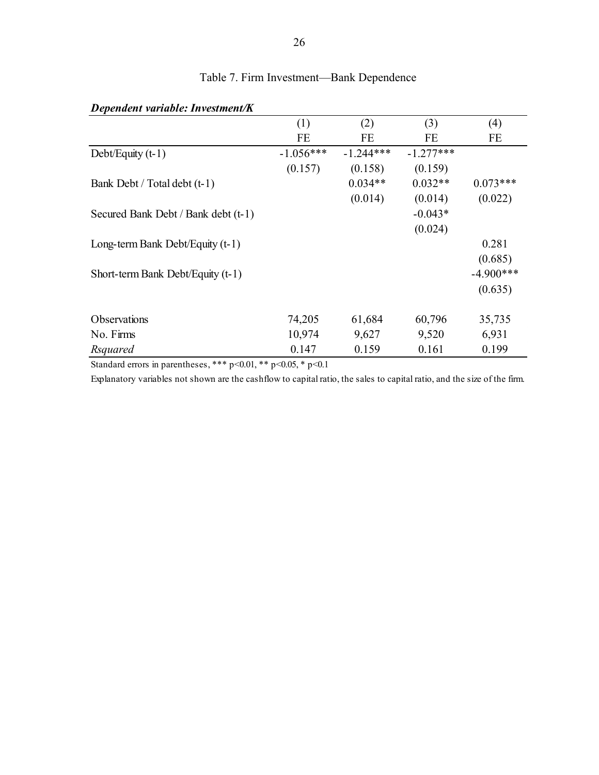| Dependent variable. Investment/K    |             |             |             |             |
|-------------------------------------|-------------|-------------|-------------|-------------|
|                                     | (1)         | (2)         | (3)         | (4)         |
|                                     | FE          | FE          | FE          | FE          |
| Debt/Equity $(t-1)$                 | $-1.056***$ | $-1.244***$ | $-1.277***$ |             |
|                                     | (0.157)     | (0.158)     | (0.159)     |             |
| Bank Debt / Total debt (t-1)        |             | $0.034**$   | $0.032**$   | $0.073***$  |
|                                     |             | (0.014)     | (0.014)     | (0.022)     |
| Secured Bank Debt / Bank debt (t-1) |             |             | $-0.043*$   |             |
|                                     |             |             | (0.024)     |             |
| Long-term Bank Debt/Equity (t-1)    |             |             |             | 0.281       |
|                                     |             |             |             | (0.685)     |
| Short-term Bank Debt/Equity (t-1)   |             |             |             | $-4.900***$ |
|                                     |             |             |             | (0.635)     |
| <b>Observations</b>                 | 74,205      | 61,684      | 60,796      | 35,735      |
| No. Firms                           | 10,974      | 9,627       | 9,520       | 6,931       |
| Rsquared                            | 0.147       | 0.159       | 0.161       | 0.199       |

# Table 7. Firm Investment—Bank Dependence

*Dependent variable: Investment/K*

Standard errors in parentheses, \*\*\* p<0.01, \*\* p<0.05, \* p<0.1

Explanatory variables not shown are the cashflow to capital ratio, the sales to capital ratio, and the size of the firm.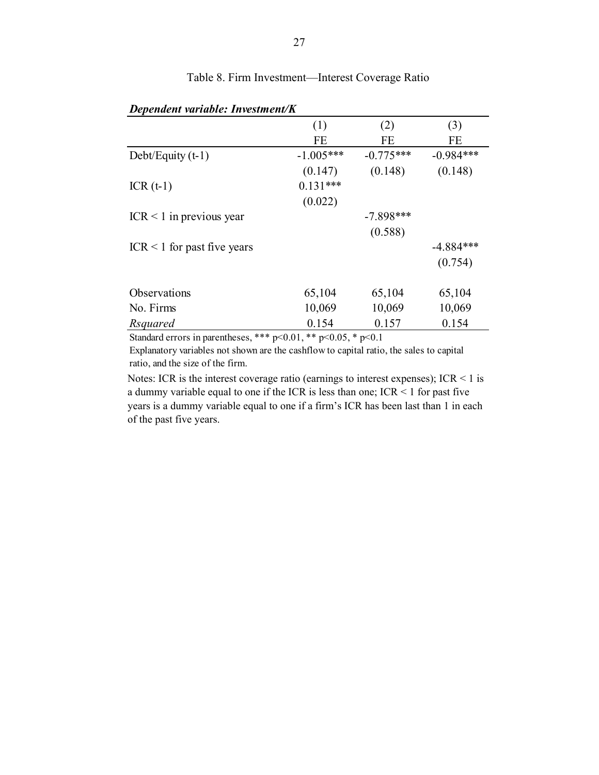| Dependent variable: Investment/K |             |             |             |  |
|----------------------------------|-------------|-------------|-------------|--|
|                                  | (1)         | (2)         | (3)         |  |
|                                  | <b>FE</b>   | <b>FE</b>   | <b>FE</b>   |  |
| Debt/Equity $(t-1)$              | $-1.005***$ | $-0.775***$ | $-0.984***$ |  |
|                                  | (0.147)     | (0.148)     | (0.148)     |  |
| $ICR(t-1)$                       | $0.131***$  |             |             |  |
|                                  | (0.022)     |             |             |  |
| $ICR < 1$ in previous year       |             | $-7.898***$ |             |  |
|                                  |             | (0.588)     |             |  |
| $ICR < 1$ for past five years    |             |             | $-4.884***$ |  |
|                                  |             |             | (0.754)     |  |
| Observations                     | 65,104      | 65,104      | 65,104      |  |
| No. Firms                        | 10,069      | 10,069      | 10,069      |  |
| Rsquared                         | 0.154       | 0.157       | 0.154       |  |

# Table 8. Firm Investment—Interest Coverage Ratio

Standard errors in parentheses, \*\*\*  $p<0.01$ , \*\*  $p<0.05$ , \*  $p<0.1$ 

Explanatory variables not shown are the cashflow to capital ratio, the sales to capital ratio, and the size of the firm.

Notes: ICR is the interest coverage ratio (earnings to interest expenses); ICR  $\leq$  1 is a dummy variable equal to one if the ICR is less than one; ICR < 1 for past five years is a dummy variable equal to one if a firm's ICR has been last than 1 in each of the past five years.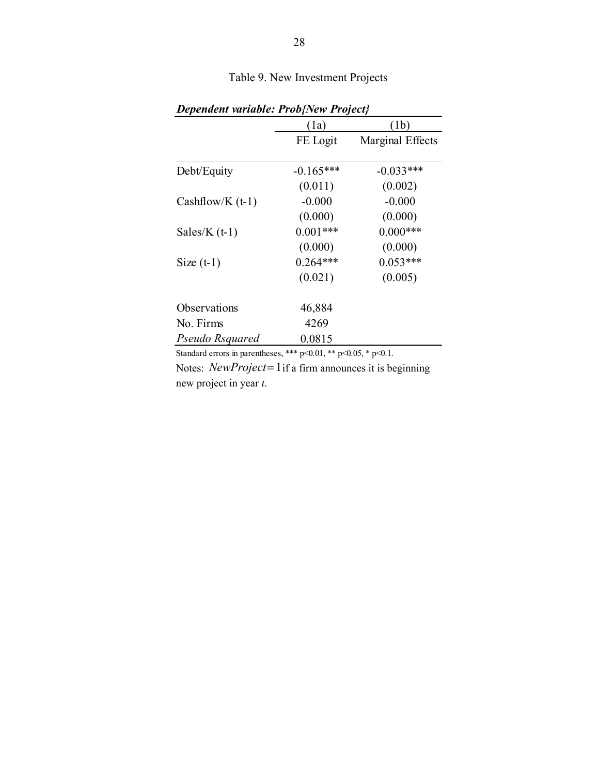| <b>Dependent variable: Prob{New Project}</b> |             |                  |  |  |
|----------------------------------------------|-------------|------------------|--|--|
|                                              | (1a)        | (1b)             |  |  |
|                                              | FE Logit    | Marginal Effects |  |  |
| Debt/Equity                                  | $-0.165***$ | $-0.033***$      |  |  |
|                                              | (0.011)     | (0.002)          |  |  |
| Cashflow/K $(t-1)$                           | $-0.000$    | $-0.000$         |  |  |
|                                              | (0.000)     | (0.000)          |  |  |
| Sales/K $(t-1)$                              | $0.001***$  | $0.000***$       |  |  |
|                                              | (0.000)     | (0.000)          |  |  |
| Size $(t-1)$                                 | $0.264***$  | $0.053***$       |  |  |
|                                              | (0.021)     | (0.005)          |  |  |
| Observations                                 | 46,884      |                  |  |  |
| No. Firms                                    | 4269        |                  |  |  |
| Pseudo Rsquared                              | 0.0815      |                  |  |  |

Table 9. New Investment Projects

Standard errors in parentheses, \*\*\* p<0.01, \*\* p<0.05, \* p<0.1.

Notes: *NewProject* = 1 if a firm announces it is beginning new project in year *t*.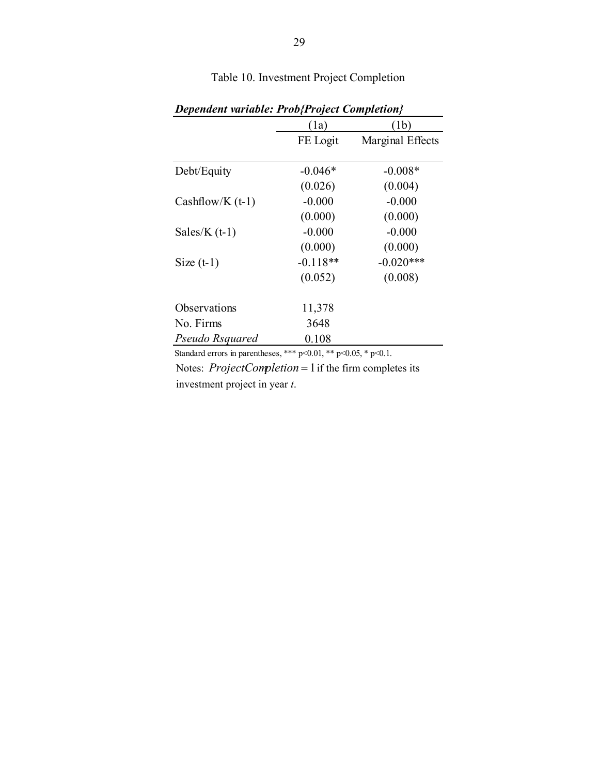|                    | (1a)       | (1b)             |
|--------------------|------------|------------------|
|                    | FE Logit   | Marginal Effects |
| Debt/Equity        | $-0.046*$  | $-0.008*$        |
|                    | (0.026)    | (0.004)          |
| Cashflow/K $(t-1)$ | $-0.000$   | $-0.000$         |
|                    | (0.000)    | (0.000)          |
| Sales/K $(t-1)$    | $-0.000$   | $-0.000$         |
|                    | (0.000)    | (0.000)          |
| Size $(t-1)$       | $-0.118**$ | $-0.020***$      |
|                    | (0.052)    | (0.008)          |
| Observations       | 11,378     |                  |
| No. Firms          | 3648       |                  |
| Pseudo Rsquared    | 0.108      |                  |

Table 10. Investment Project Completion

Notes: *ProjectCompletion* = 1 if the firm completes its investment project in year *t*. Standard errors in parentheses, \*\*\* p<0.01, \*\* p<0.05, \* p<0.1.

*Dependent variable: Prob{Project Completion}*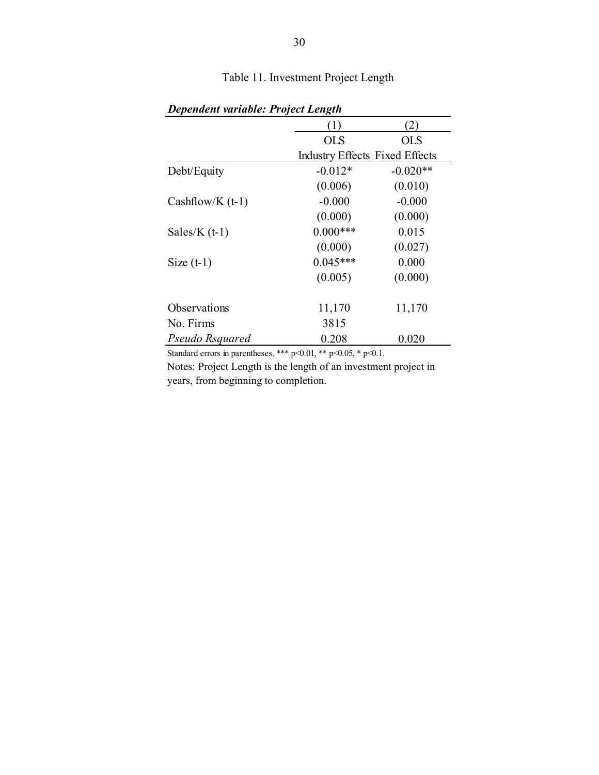| Dependent variable. I roject Lengin |            |                                       |  |  |
|-------------------------------------|------------|---------------------------------------|--|--|
|                                     | (1)        | $\mathbf{2})$                         |  |  |
|                                     | <b>OLS</b> | <b>OLS</b>                            |  |  |
|                                     |            | <b>Industry Effects Fixed Effects</b> |  |  |
| Debt/Equity                         | $-0.012*$  | $-0.020**$                            |  |  |
|                                     | (0.006)    | (0.010)                               |  |  |
| Cashflow/K $(t-1)$                  | $-0.000$   | $-0.000$                              |  |  |
|                                     | (0.000)    | (0.000)                               |  |  |
| Sales/K $(t-1)$                     | $0.000***$ | 0.015                                 |  |  |
|                                     | (0.000)    | (0.027)                               |  |  |
| Size $(t-1)$                        | $0.045***$ | 0.000                                 |  |  |
|                                     | (0.005)    | (0.000)                               |  |  |
| Observations                        | 11,170     | 11,170                                |  |  |
| No. Firms                           | 3815       |                                       |  |  |
| Pseudo Rsquared                     | 0.208      | 0.020                                 |  |  |

Table 11. Investment Project Length

*Dependent variable: Project Length*

Standard errors in parentheses, \*\*\* p<0.01, \*\* p<0.05, \* p<0.1.

Notes: Project Length is the length of an investment project in years, from beginning to completion.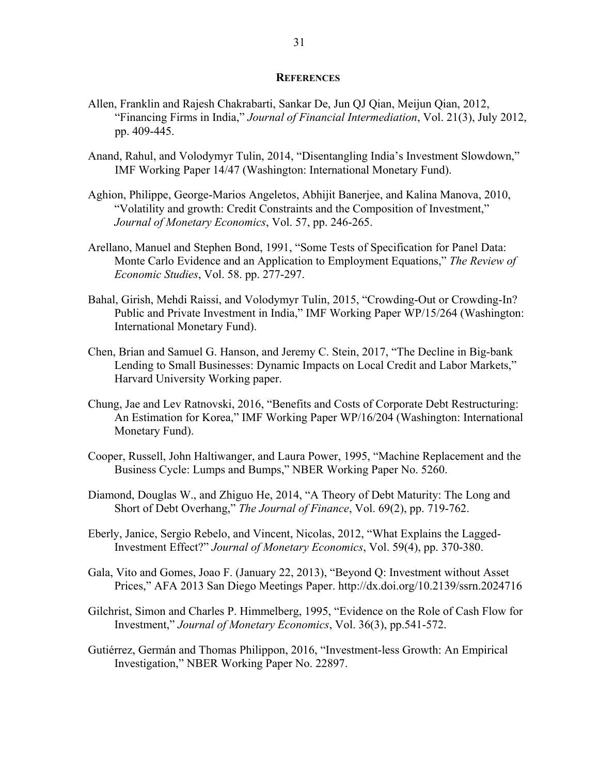#### **REFERENCES**

- Allen, Franklin and Rajesh Chakrabarti, Sankar De, Jun QJ Qian, Meijun Qian, 2012, "Financing Firms in India," *Journal of Financial Intermediation*, Vol. 21(3), July 2012, pp. 409-445.
- Anand, Rahul, and Volodymyr Tulin, 2014, "Disentangling India's Investment Slowdown," IMF Working Paper 14/47 (Washington: International Monetary Fund).
- Aghion, Philippe, George-Marios Angeletos, Abhijit Banerjee, and Kalina Manova, 2010, "Volatility and growth: Credit Constraints and the Composition of Investment," *Journal of Monetary Economics*, Vol. 57, pp. 246-265.
- Arellano, Manuel and Stephen Bond, 1991, "Some Tests of Specification for Panel Data: Monte Carlo Evidence and an Application to Employment Equations," *The Review of Economic Studies*, Vol. 58. pp. 277-297.
- Bahal, Girish, Mehdi Raissi, and Volodymyr Tulin, 2015, "Crowding-Out or Crowding-In? Public and Private Investment in India," IMF Working Paper WP/15/264 (Washington: International Monetary Fund).
- Chen, Brian and Samuel G. Hanson, and Jeremy C. Stein, 2017, "The Decline in Big-bank Lending to Small Businesses: Dynamic Impacts on Local Credit and Labor Markets," Harvard University Working paper.
- Chung, Jae and Lev Ratnovski, 2016, "Benefits and Costs of Corporate Debt Restructuring: An Estimation for Korea," IMF Working Paper WP/16/204 (Washington: International Monetary Fund).
- Cooper, Russell, John Haltiwanger, and Laura Power, 1995, "Machine Replacement and the Business Cycle: Lumps and Bumps," NBER Working Paper No. 5260.
- Diamond, Douglas W., and Zhiguo He, 2014, "A Theory of Debt Maturity: The Long and Short of Debt Overhang," *The Journal of Finance*, Vol. 69(2), pp. 719-762.
- Eberly, Janice, Sergio Rebelo, and Vincent, Nicolas, 2012, "What Explains the Lagged-Investment Effect?" *Journal of Monetary Economics*, Vol. 59(4), pp. 370-380.
- Gala, Vito and Gomes, Joao F. (January 22, 2013), "Beyond Q: Investment without Asset Prices," AFA 2013 San Diego Meetings Paper. http://dx.doi.org/10.2139/ssrn.2024716
- Gilchrist, Simon and Charles P. Himmelberg, 1995, "Evidence on the Role of Cash Flow for Investment," *Journal of Monetary Economics*, Vol. 36(3), pp.541-572.
- Gutiérrez, Germán and Thomas Philippon, 2016, "Investment-less Growth: An Empirical Investigation," NBER Working Paper No. 22897.